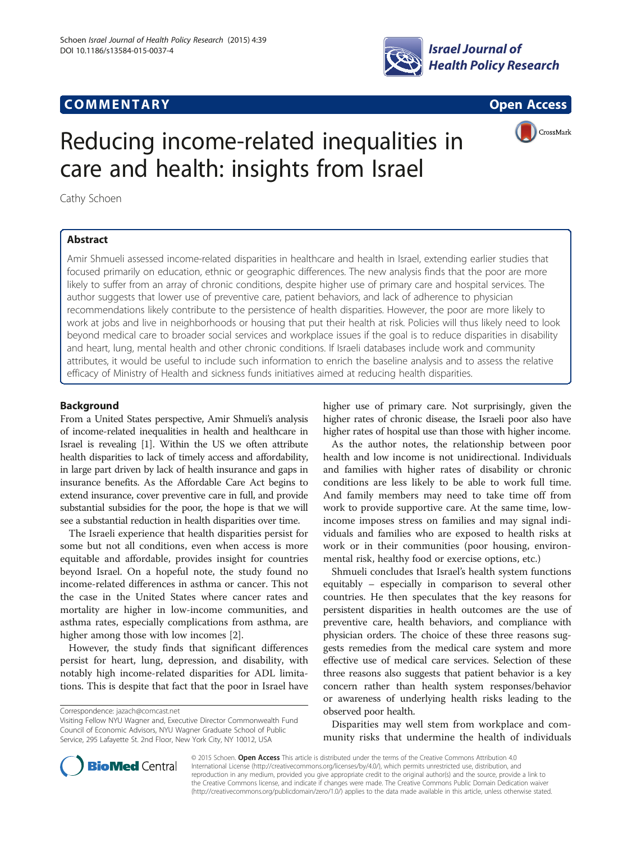# **COMMENTARY COMMENTARY Open Access**



CrossMark

# Reducing income-related inequalities in care and health: insights from Israel

Cathy Schoen

# Abstract

Amir Shmueli assessed income-related disparities in healthcare and health in Israel, extending earlier studies that focused primarily on education, ethnic or geographic differences. The new analysis finds that the poor are more likely to suffer from an array of chronic conditions, despite higher use of primary care and hospital services. The author suggests that lower use of preventive care, patient behaviors, and lack of adherence to physician recommendations likely contribute to the persistence of health disparities. However, the poor are more likely to work at jobs and live in neighborhoods or housing that put their health at risk. Policies will thus likely need to look beyond medical care to broader social services and workplace issues if the goal is to reduce disparities in disability and heart, lung, mental health and other chronic conditions. If Israeli databases include work and community attributes, it would be useful to include such information to enrich the baseline analysis and to assess the relative efficacy of Ministry of Health and sickness funds initiatives aimed at reducing health disparities.

## Background

From a United States perspective, Amir Shmueli's analysis of income-related inequalities in health and healthcare in Israel is revealing [\[1\]](#page-1-0). Within the US we often attribute health disparities to lack of timely access and affordability, in large part driven by lack of health insurance and gaps in insurance benefits. As the Affordable Care Act begins to extend insurance, cover preventive care in full, and provide substantial subsidies for the poor, the hope is that we will see a substantial reduction in health disparities over time.

The Israeli experience that health disparities persist for some but not all conditions, even when access is more equitable and affordable, provides insight for countries beyond Israel. On a hopeful note, the study found no income-related differences in asthma or cancer. This not the case in the United States where cancer rates and mortality are higher in low-income communities, and asthma rates, especially complications from asthma, are higher among those with low incomes [\[2](#page-1-0)].

However, the study finds that significant differences persist for heart, lung, depression, and disability, with notably high income-related disparities for ADL limitations. This is despite that fact that the poor in Israel have

higher use of primary care. Not surprisingly, given the higher rates of chronic disease, the Israeli poor also have higher rates of hospital use than those with higher income.

As the author notes, the relationship between poor health and low income is not unidirectional. Individuals and families with higher rates of disability or chronic conditions are less likely to be able to work full time. And family members may need to take time off from work to provide supportive care. At the same time, lowincome imposes stress on families and may signal individuals and families who are exposed to health risks at work or in their communities (poor housing, environmental risk, healthy food or exercise options, etc.)

Shmueli concludes that Israel's health system functions equitably – especially in comparison to several other countries. He then speculates that the key reasons for persistent disparities in health outcomes are the use of preventive care, health behaviors, and compliance with physician orders. The choice of these three reasons suggests remedies from the medical care system and more effective use of medical care services. Selection of these three reasons also suggests that patient behavior is a key concern rather than health system responses/behavior or awareness of underlying health risks leading to the observed poor health.

Disparities may well stem from workplace and community risks that undermine the health of individuals



© 2015 Schoen. Open Access This article is distributed under the terms of the Creative Commons Attribution 4.0 International License [\(http://creativecommons.org/licenses/by/4.0/](http://creativecommons.org/licenses/by/4.0/)), which permits unrestricted use, distribution, and reproduction in any medium, provided you give appropriate credit to the original author(s) and the source, provide a link to the Creative Commons license, and indicate if changes were made. The Creative Commons Public Domain Dedication waiver [\(http://creativecommons.org/publicdomain/zero/1.0/](http://creativecommons.org/publicdomain/zero/1.0/)) applies to the data made available in this article, unless otherwise stated.

Correspondence: [jazach@comcast.net](mailto:jazach@comcast.net)

Visiting Fellow NYU Wagner and, Executive Director Commonwealth Fund Council of Economic Advisors, NYU Wagner Graduate School of Public Service, 295 Lafayette St. 2nd Floor, New York City, NY 10012, USA